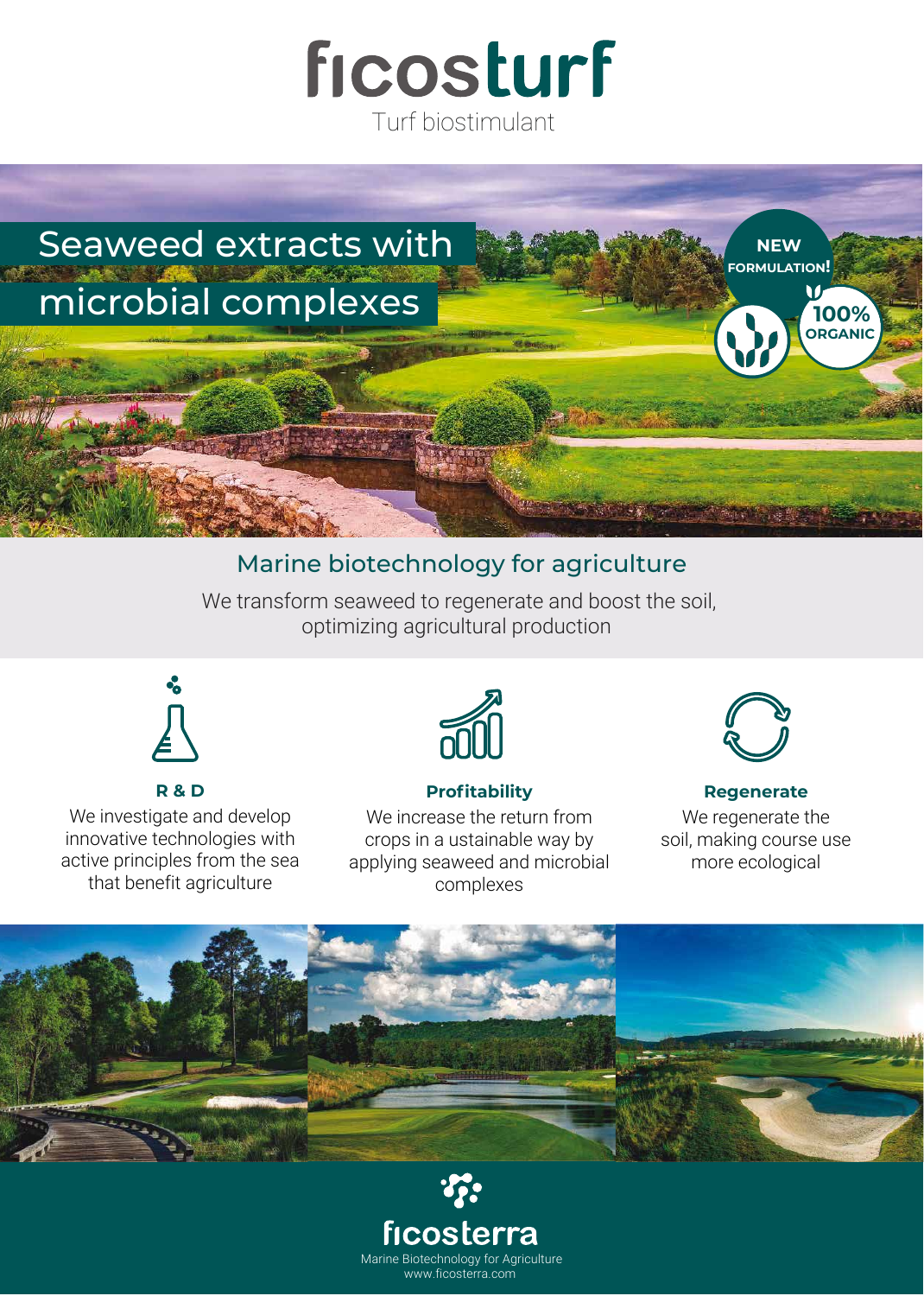

# Seaweed extracts with microbial complexes **NEW FORMULATION! ORGANIC 100%**

## Marine biotechnology for agriculture

We transform seaweed to regenerate and boost the soil, optimizing agricultural production



#### **R & D**

We investigate and develop innovative technologies with active principles from the sea that benefit agriculture



#### **Profitability**

We increase the return from crops in a ustainable way by applying seaweed and microbial complexes



#### **Regenerate** We regenerate the soil, making course use more ecological